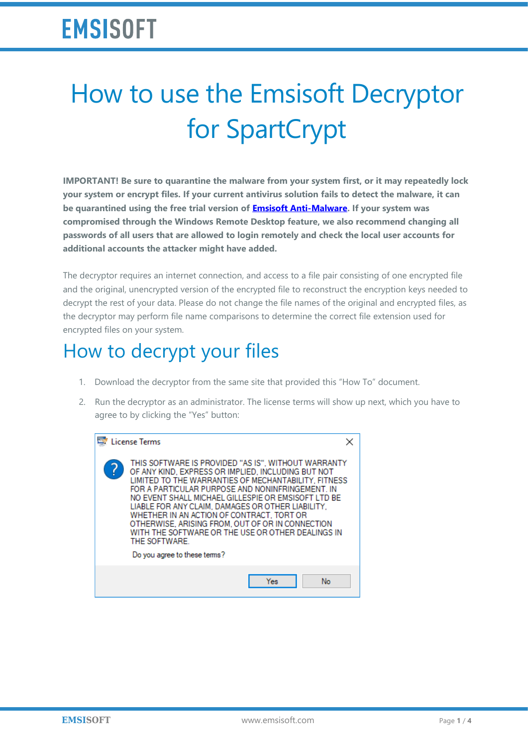## **EMSISOFT**

# How to use the Emsisoft Decryptor for SpartCrypt

**IMPORTANT! Be sure to quarantine the malware from your system first, or it may repeatedly lock your system or encrypt files. If your current antivirus solution fails to detect the malware, it can be quarantined using the free trial version of [Emsisoft Anti-Malware.](https://www.emsisoft.com/?ref=decryptor_SpartCrypt) If your system was compromised through the Windows Remote Desktop feature, we also recommend changing all passwords of all users that are allowed to login remotely and check the local user accounts for additional accounts the attacker might have added.**

The decryptor requires an internet connection, and access to a file pair consisting of one encrypted file and the original, unencrypted version of the encrypted file to reconstruct the encryption keys needed to decrypt the rest of your data. Please do not change the file names of the original and encrypted files, as the decryptor may perform file name comparisons to determine the correct file extension used for encrypted files on your system.

#### How to decrypt your files

- 1. Download the decryptor from the same site that provided this "How To" document.
- 2. Run the decryptor as an administrator. The license terms will show up next, which you have to agree to by clicking the "Yes" button:

| <b>License Terms</b>                                                                                                                                                                                                                                                                                                                                                                                                                                                                                                                     |  |
|------------------------------------------------------------------------------------------------------------------------------------------------------------------------------------------------------------------------------------------------------------------------------------------------------------------------------------------------------------------------------------------------------------------------------------------------------------------------------------------------------------------------------------------|--|
| THIS SOFTWARE IS PROVIDED "AS IS", WITHOUT WARRANTY<br>OF ANY KIND, EXPRESS OR IMPLIED, INCLUDING BUT NOT<br>LIMITED TO THE WARRANTIES OF MECHANTABILITY. FITNESS<br>FOR A PARTICULAR PURPOSE AND NONINFRINGEMENT. IN<br>NO EVENT SHALL MICHAEL GILLESPIE OR EMSISOFT LTD BE<br>LIABLE FOR ANY CLAIM, DAMAGES OR OTHER LIABILITY.<br>WHETHER IN AN ACTION OF CONTRACT. TORT OR<br>OTHERWISE, ARISING FROM, OUT OF OR IN CONNECTION<br>WITH THE SOFTWARE OR THE USE OR OTHER DEALINGS IN<br>THE SOFTWARE.<br>Do you agree to these terms? |  |
| No<br>Yes                                                                                                                                                                                                                                                                                                                                                                                                                                                                                                                                |  |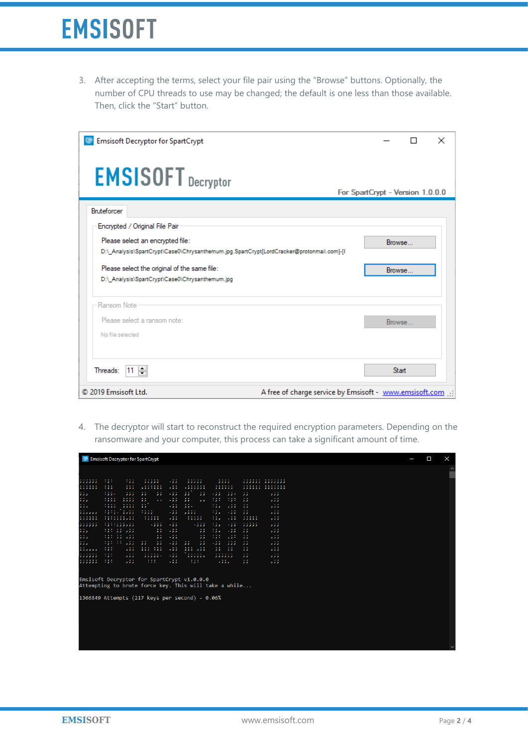3. After accepting the terms, select your file pair using the "Browse" buttons. Optionally, the number of CPU threads to use may be changed; the default is one less than those available. Then, click the "Start" button.

| <b>Emsisoft Decryptor for SpartCrypt</b>                                                                                                                                                                        |                                  | П                | $\times$ |
|-----------------------------------------------------------------------------------------------------------------------------------------------------------------------------------------------------------------|----------------------------------|------------------|----------|
| <b>EMSISOFT</b> Decryptor                                                                                                                                                                                       | For SpartCrypt - Version 1.0.0.0 |                  |          |
| <b>Bruteforcer</b>                                                                                                                                                                                              |                                  |                  |          |
| Encrypted / Original File Pair<br>Please select an encrypted file:<br>D:\_Analysis\SpartCrypt\Case0\Chrysanthemum.jpg.SpartCrypt[LordCracker@protonmail.com]-[I<br>Please select the original of the same file: |                                  | Browse<br>Browse |          |
| D:\ Analysis\SpartCrypt\Case0\Chrysanthemum.jpq<br>Ransom Note                                                                                                                                                  |                                  |                  |          |
| Please select a ransom note:<br>No file selected                                                                                                                                                                |                                  | Browse           |          |
| Threads: $ 11 $                                                                                                                                                                                                 |                                  | <b>Start</b>     |          |
| © 2019 Emsisoft Ltd.<br>A free of charge service by Emsisoft - www.emsisoft.com                                                                                                                                 |                                  |                  |          |

4. The decryptor will start to reconstruct the required encryption parameters. Depending on the ransomware and your computer, this process can take a significant amount of time.

| $\cdots$<br>$\cdots$<br>.<br>$\sim$<br>.<br><b><i><u>ALCOHOL: 400 AM</u></i></b><br>.<br>.,.<br>. 5.5<br>.<br>.,,<br>,,,,,<br>.<br>,,,,,,,,,,,,,,<br>$\cdots$<br>$\cdots$<br>.<br>. .<br>.<br>.<br>.<br>. .<br>.<br>,,,,,,,<br>ووه<br>.,,<br>,,,,,,,<br>,,,,,,,,,,,,,,<br>5.3.3<br>,,,,,,<br>$\sim$<br>.<br>1.111<br>$\sim$ $\sim$<br>$\sim$<br>$\sim$<br>$\sim$ $\sim$<br>$\cdots$<br>$\sim$<br>$\cdots$<br>$\cdots$<br>.,,.<br>$\overline{\phantom{a}}$<br>5.5.5<br>,,<br>$\overline{\phantom{a}}$<br>. 2.2<br>,,<br>. 3.3.<br>5.5.7<br>$\overline{\phantom{a}}$<br>5.3.3<br>.<br><b>ALC: YES</b><br>$\sim$<br>. .<br>33<br>131<br>131<br>$\sim$ $\sim$<br>. .<br>$\mathbf{1}$<br>,,<br>$\sim$ $\sim$<br>ززه<br>,,<br>. 5.3.3<br>,,,,<br>5.3.3<br><b>ALC</b><br>.<br>.<br>$\sim$<br>334<br>$\sim$<br>$\sim$<br>$\sim$ $\sim$<br>135<br>. 5.5<br>5.3.3<br>,,<br>$\overline{\phantom{a}}$<br>.,,,<br>,,,,<br>5.5.3<br>$\blacksquare$<br>$\sim$ $\sim$<br>1.1.1.1<br>5333<br>33<br>.<br>$\sim$<br>135<br>.33<br>$\sim$ $\sim$<br>.,,,<br>.,,<br>.<br>,,,,<br>5.5.3<br>.<br><b><i><u>ALCOHOL: 40</u></i></b><br><b>COL</b><br>.<br>$\sim$<br><b><i><u>ALCOHOL: 40</u></i></b><br>$\sim$ $\sim$<br>$\cdots$<br>,,,,,<br>.,,<br>,,,,,<br>,,,,,<br>.,,<br>$\cdots$<br>. <i>.</i> .<br>5.5.3<br>.<br>$-0.00000$<br>. .<br>$\sim$ $\sim$ $\sim$<br>435<br>$\sim$<br>.<br>$\cdots$<br>. 5.5.5<br>.,,<br>.,,,<br>$\cdots$<br>,,,,,<br>5.5.3<br>$\cdots$<br>.<br>$\sim$<br>10,000<br>$\sim$ $\sim$<br>$\sim$ $\sim$<br>$\sim$ $\sim$<br>1.11<br>$\cdots$<br>. .<br>135<br>$\cdots$<br>و و<br>.,,<br>,,,,,<br>د د<br>.,,<br>د د<br>5.3.3<br>.,.<br>. .<br>$\cdots$<br>.<br>$\cdots$<br>$\cdots$<br>$\cdots$<br>33<br>131<br>530<br>$\cdots$<br>$\overline{\phantom{a}}$<br>$\mathcal{F}(\mathcal{F})$<br>.<br>. 5.5<br>$\overline{\phantom{a}}$<br>5.3.3<br>.,.<br>$\sim$ $\sim$<br>$\sim$ $\sim$<br>$\sim$ 10 $\pm$<br>$\sim$ $\sim$<br>$\cdots$<br>. .<br>$\sim$<br>$\sim$<br>$\cdots$<br>$\cdots$<br>. .<br>$\cdots$<br>دد<br>د د<br>د د<br>.,.<br>$\sim$<br>د د<br>ززه<br>,,,<br>5.3.3<br>.,,<br>5.3<br>5.3.3<br>117777<br>$\sim$<br><b>ALC Y</b><br><br>. .<br>1.111<br>$\cdots$<br>$\sim$ $\sim$<br>$\sim$<br>$\sim$ $\sim$<br>$\cdots$<br>$\cdots$<br>.,.<br>5.3.3<br>,,, ,,,<br>.,,<br>,,, ,,,<br>$\overline{\phantom{a}}$<br>$\overline{\phantom{a}}$<br>$\overline{\phantom{a}}$<br>5.5.3<br><b><i>Provident</i></b><br><b><i><u>A A A A A A</u></i></b><br>$\sim$<br>$\cdots$<br>$\sim$<br>.<br>.<br>$\sim$<br>$\sim$<br>.,.<br>. 3.3<br>5.3<br>5.3.3<br>,,,,,,<br>,,,,,,<br>5.3.3<br>,,,,,,<br>,,,,,,<br>1.111<br>$\sim$ $\sim$<br>1.1.1<br>$\cdots$<br>1.1.1<br>$\cdots$<br>$\sim$<br>$\sim$<br>.,.<br>5.3.3<br>.<br>.,,<br>.,.<br>. 3.3.3<br>$\overline{\phantom{a}}$<br>5.3.3<br>Emsisoft Decryptor for SpartCrypt v1.0.0.0<br>Attempting to brute force key. This will take a while<br>1366849 Attempts (217 keys per second) - 0.06% |               |  | Emsisoft Decryptor for SpartCrypt |  |  |  |
|--------------------------------------------------------------------------------------------------------------------------------------------------------------------------------------------------------------------------------------------------------------------------------------------------------------------------------------------------------------------------------------------------------------------------------------------------------------------------------------------------------------------------------------------------------------------------------------------------------------------------------------------------------------------------------------------------------------------------------------------------------------------------------------------------------------------------------------------------------------------------------------------------------------------------------------------------------------------------------------------------------------------------------------------------------------------------------------------------------------------------------------------------------------------------------------------------------------------------------------------------------------------------------------------------------------------------------------------------------------------------------------------------------------------------------------------------------------------------------------------------------------------------------------------------------------------------------------------------------------------------------------------------------------------------------------------------------------------------------------------------------------------------------------------------------------------------------------------------------------------------------------------------------------------------------------------------------------------------------------------------------------------------------------------------------------------------------------------------------------------------------------------------------------------------------------------------------------------------------------------------------------------------------------------------------------------------------------------------------------------------------------------------------------------------------------------------------------------------------------------------------------------------------------------------------------------------------------------------------------------------------------------------------------------------------------------------------------------------------------------------------------------------------------------------------------------------------------------------------------------------------------------------------------------------------------------|---------------|--|-----------------------------------|--|--|--|
|                                                                                                                                                                                                                                                                                                                                                                                                                                                                                                                                                                                                                                                                                                                                                                                                                                                                                                                                                                                                                                                                                                                                                                                                                                                                                                                                                                                                                                                                                                                                                                                                                                                                                                                                                                                                                                                                                                                                                                                                                                                                                                                                                                                                                                                                                                                                                                                                                                                                                                                                                                                                                                                                                                                                                                                                                                                                                                                                            |               |  |                                   |  |  |  |
|                                                                                                                                                                                                                                                                                                                                                                                                                                                                                                                                                                                                                                                                                                                                                                                                                                                                                                                                                                                                                                                                                                                                                                                                                                                                                                                                                                                                                                                                                                                                                                                                                                                                                                                                                                                                                                                                                                                                                                                                                                                                                                                                                                                                                                                                                                                                                                                                                                                                                                                                                                                                                                                                                                                                                                                                                                                                                                                                            | ;;;;;;        |  |                                   |  |  |  |
|                                                                                                                                                                                                                                                                                                                                                                                                                                                                                                                                                                                                                                                                                                                                                                                                                                                                                                                                                                                                                                                                                                                                                                                                                                                                                                                                                                                                                                                                                                                                                                                                                                                                                                                                                                                                                                                                                                                                                                                                                                                                                                                                                                                                                                                                                                                                                                                                                                                                                                                                                                                                                                                                                                                                                                                                                                                                                                                                            | ;;;;;;;       |  |                                   |  |  |  |
|                                                                                                                                                                                                                                                                                                                                                                                                                                                                                                                                                                                                                                                                                                                                                                                                                                                                                                                                                                                                                                                                                                                                                                                                                                                                                                                                                                                                                                                                                                                                                                                                                                                                                                                                                                                                                                                                                                                                                                                                                                                                                                                                                                                                                                                                                                                                                                                                                                                                                                                                                                                                                                                                                                                                                                                                                                                                                                                                            | \$\$5         |  |                                   |  |  |  |
|                                                                                                                                                                                                                                                                                                                                                                                                                                                                                                                                                                                                                                                                                                                                                                                                                                                                                                                                                                                                                                                                                                                                                                                                                                                                                                                                                                                                                                                                                                                                                                                                                                                                                                                                                                                                                                                                                                                                                                                                                                                                                                                                                                                                                                                                                                                                                                                                                                                                                                                                                                                                                                                                                                                                                                                                                                                                                                                                            | 335           |  |                                   |  |  |  |
|                                                                                                                                                                                                                                                                                                                                                                                                                                                                                                                                                                                                                                                                                                                                                                                                                                                                                                                                                                                                                                                                                                                                                                                                                                                                                                                                                                                                                                                                                                                                                                                                                                                                                                                                                                                                                                                                                                                                                                                                                                                                                                                                                                                                                                                                                                                                                                                                                                                                                                                                                                                                                                                                                                                                                                                                                                                                                                                                            | 335           |  |                                   |  |  |  |
|                                                                                                                                                                                                                                                                                                                                                                                                                                                                                                                                                                                                                                                                                                                                                                                                                                                                                                                                                                                                                                                                                                                                                                                                                                                                                                                                                                                                                                                                                                                                                                                                                                                                                                                                                                                                                                                                                                                                                                                                                                                                                                                                                                                                                                                                                                                                                                                                                                                                                                                                                                                                                                                                                                                                                                                                                                                                                                                                            | 11.111        |  |                                   |  |  |  |
|                                                                                                                                                                                                                                                                                                                                                                                                                                                                                                                                                                                                                                                                                                                                                                                                                                                                                                                                                                                                                                                                                                                                                                                                                                                                                                                                                                                                                                                                                                                                                                                                                                                                                                                                                                                                                                                                                                                                                                                                                                                                                                                                                                                                                                                                                                                                                                                                                                                                                                                                                                                                                                                                                                                                                                                                                                                                                                                                            | ,,,,,,,       |  |                                   |  |  |  |
|                                                                                                                                                                                                                                                                                                                                                                                                                                                                                                                                                                                                                                                                                                                                                                                                                                                                                                                                                                                                                                                                                                                                                                                                                                                                                                                                                                                                                                                                                                                                                                                                                                                                                                                                                                                                                                                                                                                                                                                                                                                                                                                                                                                                                                                                                                                                                                                                                                                                                                                                                                                                                                                                                                                                                                                                                                                                                                                                            | <b>SSSSSS</b> |  |                                   |  |  |  |
|                                                                                                                                                                                                                                                                                                                                                                                                                                                                                                                                                                                                                                                                                                                                                                                                                                                                                                                                                                                                                                                                                                                                                                                                                                                                                                                                                                                                                                                                                                                                                                                                                                                                                                                                                                                                                                                                                                                                                                                                                                                                                                                                                                                                                                                                                                                                                                                                                                                                                                                                                                                                                                                                                                                                                                                                                                                                                                                                            | 335           |  |                                   |  |  |  |
|                                                                                                                                                                                                                                                                                                                                                                                                                                                                                                                                                                                                                                                                                                                                                                                                                                                                                                                                                                                                                                                                                                                                                                                                                                                                                                                                                                                                                                                                                                                                                                                                                                                                                                                                                                                                                                                                                                                                                                                                                                                                                                                                                                                                                                                                                                                                                                                                                                                                                                                                                                                                                                                                                                                                                                                                                                                                                                                                            | 555           |  |                                   |  |  |  |
|                                                                                                                                                                                                                                                                                                                                                                                                                                                                                                                                                                                                                                                                                                                                                                                                                                                                                                                                                                                                                                                                                                                                                                                                                                                                                                                                                                                                                                                                                                                                                                                                                                                                                                                                                                                                                                                                                                                                                                                                                                                                                                                                                                                                                                                                                                                                                                                                                                                                                                                                                                                                                                                                                                                                                                                                                                                                                                                                            | 335           |  |                                   |  |  |  |
|                                                                                                                                                                                                                                                                                                                                                                                                                                                                                                                                                                                                                                                                                                                                                                                                                                                                                                                                                                                                                                                                                                                                                                                                                                                                                                                                                                                                                                                                                                                                                                                                                                                                                                                                                                                                                                                                                                                                                                                                                                                                                                                                                                                                                                                                                                                                                                                                                                                                                                                                                                                                                                                                                                                                                                                                                                                                                                                                            |               |  |                                   |  |  |  |
|                                                                                                                                                                                                                                                                                                                                                                                                                                                                                                                                                                                                                                                                                                                                                                                                                                                                                                                                                                                                                                                                                                                                                                                                                                                                                                                                                                                                                                                                                                                                                                                                                                                                                                                                                                                                                                                                                                                                                                                                                                                                                                                                                                                                                                                                                                                                                                                                                                                                                                                                                                                                                                                                                                                                                                                                                                                                                                                                            | ,,,,,,        |  |                                   |  |  |  |
|                                                                                                                                                                                                                                                                                                                                                                                                                                                                                                                                                                                                                                                                                                                                                                                                                                                                                                                                                                                                                                                                                                                                                                                                                                                                                                                                                                                                                                                                                                                                                                                                                                                                                                                                                                                                                                                                                                                                                                                                                                                                                                                                                                                                                                                                                                                                                                                                                                                                                                                                                                                                                                                                                                                                                                                                                                                                                                                                            |               |  |                                   |  |  |  |
|                                                                                                                                                                                                                                                                                                                                                                                                                                                                                                                                                                                                                                                                                                                                                                                                                                                                                                                                                                                                                                                                                                                                                                                                                                                                                                                                                                                                                                                                                                                                                                                                                                                                                                                                                                                                                                                                                                                                                                                                                                                                                                                                                                                                                                                                                                                                                                                                                                                                                                                                                                                                                                                                                                                                                                                                                                                                                                                                            |               |  |                                   |  |  |  |
|                                                                                                                                                                                                                                                                                                                                                                                                                                                                                                                                                                                                                                                                                                                                                                                                                                                                                                                                                                                                                                                                                                                                                                                                                                                                                                                                                                                                                                                                                                                                                                                                                                                                                                                                                                                                                                                                                                                                                                                                                                                                                                                                                                                                                                                                                                                                                                                                                                                                                                                                                                                                                                                                                                                                                                                                                                                                                                                                            |               |  |                                   |  |  |  |
|                                                                                                                                                                                                                                                                                                                                                                                                                                                                                                                                                                                                                                                                                                                                                                                                                                                                                                                                                                                                                                                                                                                                                                                                                                                                                                                                                                                                                                                                                                                                                                                                                                                                                                                                                                                                                                                                                                                                                                                                                                                                                                                                                                                                                                                                                                                                                                                                                                                                                                                                                                                                                                                                                                                                                                                                                                                                                                                                            |               |  |                                   |  |  |  |
|                                                                                                                                                                                                                                                                                                                                                                                                                                                                                                                                                                                                                                                                                                                                                                                                                                                                                                                                                                                                                                                                                                                                                                                                                                                                                                                                                                                                                                                                                                                                                                                                                                                                                                                                                                                                                                                                                                                                                                                                                                                                                                                                                                                                                                                                                                                                                                                                                                                                                                                                                                                                                                                                                                                                                                                                                                                                                                                                            |               |  |                                   |  |  |  |
|                                                                                                                                                                                                                                                                                                                                                                                                                                                                                                                                                                                                                                                                                                                                                                                                                                                                                                                                                                                                                                                                                                                                                                                                                                                                                                                                                                                                                                                                                                                                                                                                                                                                                                                                                                                                                                                                                                                                                                                                                                                                                                                                                                                                                                                                                                                                                                                                                                                                                                                                                                                                                                                                                                                                                                                                                                                                                                                                            |               |  |                                   |  |  |  |
|                                                                                                                                                                                                                                                                                                                                                                                                                                                                                                                                                                                                                                                                                                                                                                                                                                                                                                                                                                                                                                                                                                                                                                                                                                                                                                                                                                                                                                                                                                                                                                                                                                                                                                                                                                                                                                                                                                                                                                                                                                                                                                                                                                                                                                                                                                                                                                                                                                                                                                                                                                                                                                                                                                                                                                                                                                                                                                                                            |               |  |                                   |  |  |  |
|                                                                                                                                                                                                                                                                                                                                                                                                                                                                                                                                                                                                                                                                                                                                                                                                                                                                                                                                                                                                                                                                                                                                                                                                                                                                                                                                                                                                                                                                                                                                                                                                                                                                                                                                                                                                                                                                                                                                                                                                                                                                                                                                                                                                                                                                                                                                                                                                                                                                                                                                                                                                                                                                                                                                                                                                                                                                                                                                            |               |  |                                   |  |  |  |
|                                                                                                                                                                                                                                                                                                                                                                                                                                                                                                                                                                                                                                                                                                                                                                                                                                                                                                                                                                                                                                                                                                                                                                                                                                                                                                                                                                                                                                                                                                                                                                                                                                                                                                                                                                                                                                                                                                                                                                                                                                                                                                                                                                                                                                                                                                                                                                                                                                                                                                                                                                                                                                                                                                                                                                                                                                                                                                                                            |               |  |                                   |  |  |  |
|                                                                                                                                                                                                                                                                                                                                                                                                                                                                                                                                                                                                                                                                                                                                                                                                                                                                                                                                                                                                                                                                                                                                                                                                                                                                                                                                                                                                                                                                                                                                                                                                                                                                                                                                                                                                                                                                                                                                                                                                                                                                                                                                                                                                                                                                                                                                                                                                                                                                                                                                                                                                                                                                                                                                                                                                                                                                                                                                            |               |  |                                   |  |  |  |
|                                                                                                                                                                                                                                                                                                                                                                                                                                                                                                                                                                                                                                                                                                                                                                                                                                                                                                                                                                                                                                                                                                                                                                                                                                                                                                                                                                                                                                                                                                                                                                                                                                                                                                                                                                                                                                                                                                                                                                                                                                                                                                                                                                                                                                                                                                                                                                                                                                                                                                                                                                                                                                                                                                                                                                                                                                                                                                                                            |               |  |                                   |  |  |  |
|                                                                                                                                                                                                                                                                                                                                                                                                                                                                                                                                                                                                                                                                                                                                                                                                                                                                                                                                                                                                                                                                                                                                                                                                                                                                                                                                                                                                                                                                                                                                                                                                                                                                                                                                                                                                                                                                                                                                                                                                                                                                                                                                                                                                                                                                                                                                                                                                                                                                                                                                                                                                                                                                                                                                                                                                                                                                                                                                            |               |  |                                   |  |  |  |
|                                                                                                                                                                                                                                                                                                                                                                                                                                                                                                                                                                                                                                                                                                                                                                                                                                                                                                                                                                                                                                                                                                                                                                                                                                                                                                                                                                                                                                                                                                                                                                                                                                                                                                                                                                                                                                                                                                                                                                                                                                                                                                                                                                                                                                                                                                                                                                                                                                                                                                                                                                                                                                                                                                                                                                                                                                                                                                                                            |               |  |                                   |  |  |  |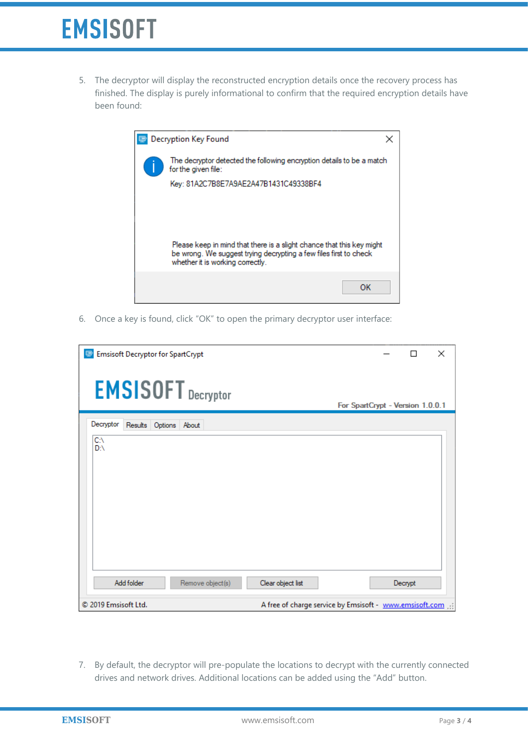## **EMSISOFT**

5. The decryptor will display the reconstructed encryption details once the recovery process has finished. The display is purely informational to confirm that the required encryption details have been found:

| <b>Decryption Key Found</b> |                                                                                                                                                                                |  |  |  |  |  |  |  |
|-----------------------------|--------------------------------------------------------------------------------------------------------------------------------------------------------------------------------|--|--|--|--|--|--|--|
|                             | The decryptor detected the following encryption details to be a match<br>for the given file:                                                                                   |  |  |  |  |  |  |  |
|                             | Key: 81A2C7B8E7A9AE2A47B1431C49338BF4                                                                                                                                          |  |  |  |  |  |  |  |
|                             |                                                                                                                                                                                |  |  |  |  |  |  |  |
|                             |                                                                                                                                                                                |  |  |  |  |  |  |  |
|                             | Please keep in mind that there is a slight chance that this key might<br>be wrong. We suggest trying decrypting a few files first to check<br>whether it is working correctly. |  |  |  |  |  |  |  |
|                             | ок                                                                                                                                                                             |  |  |  |  |  |  |  |

6. Once a key is found, click "OK" to open the primary decryptor user interface:

| <b>Emsisoft Decryptor for SpartCrypt</b> |                   | ×<br>П                                                  |
|------------------------------------------|-------------------|---------------------------------------------------------|
| <b>EMSISOFT</b> Decryptor                |                   | For SpartCrypt - Version 1.0.0.1                        |
| Decryptor<br>Results Options About       |                   |                                                         |
| C:\<br>D:N                               |                   |                                                         |
| Add folder<br>Remove object(s)           | Clear object list | Decrypt                                                 |
| © 2019 Emsisoft Ltd.                     |                   | A free of charge service by Emsisoft - www.emsisoft.com |

7. By default, the decryptor will pre-populate the locations to decrypt with the currently connected drives and network drives. Additional locations can be added using the "Add" button.